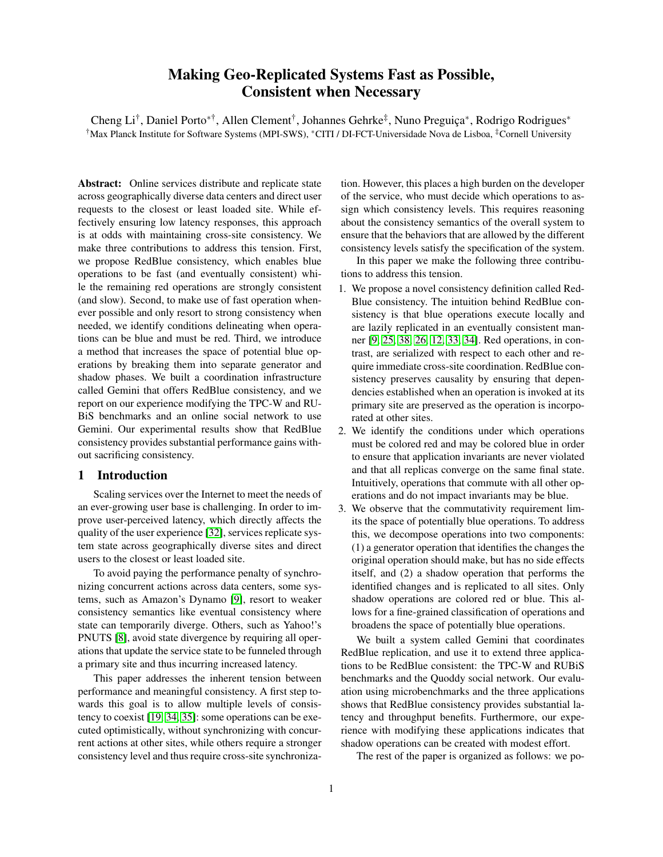# Making Geo-Replicated Systems Fast as Possible, Consistent when Necessary

Cheng Li<sup>†</sup>, Daniel Porto<sup>\*†</sup>, Allen Clement<sup>†</sup>, Johannes Gehrke<sup>‡</sup>, Nuno Preguiça<sup>\*</sup>, Rodrigo Rodrigues<sup>\*</sup> †Max Planck Institute for Software Systems (MPI-SWS), <sup>∗</sup>CITI / DI-FCT-Universidade Nova de Lisboa, ‡Cornell University

Abstract: Online services distribute and replicate state across geographically diverse data centers and direct user requests to the closest or least loaded site. While effectively ensuring low latency responses, this approach is at odds with maintaining cross-site consistency. We make three contributions to address this tension. First, we propose RedBlue consistency, which enables blue operations to be fast (and eventually consistent) while the remaining red operations are strongly consistent (and slow). Second, to make use of fast operation whenever possible and only resort to strong consistency when needed, we identify conditions delineating when operations can be blue and must be red. Third, we introduce a method that increases the space of potential blue operations by breaking them into separate generator and shadow phases. We built a coordination infrastructure called Gemini that offers RedBlue consistency, and we report on our experience modifying the TPC-W and RU-BiS benchmarks and an online social network to use Gemini. Our experimental results show that RedBlue consistency provides substantial performance gains without sacrificing consistency.

# 1 Introduction

Scaling services over the Internet to meet the needs of an ever-growing user base is challenging. In order to improve user-perceived latency, which directly affects the quality of the user experience [\[32\]](#page-13-0), services replicate system state across geographically diverse sites and direct users to the closest or least loaded site.

To avoid paying the performance penalty of synchronizing concurrent actions across data centers, some systems, such as Amazon's Dynamo [\[9\]](#page-13-1), resort to weaker consistency semantics like eventual consistency where state can temporarily diverge. Others, such as Yahoo!'s PNUTS [\[8\]](#page-13-2), avoid state divergence by requiring all operations that update the service state to be funneled through a primary site and thus incurring increased latency.

This paper addresses the inherent tension between performance and meaningful consistency. A first step towards this goal is to allow multiple levels of consistency to coexist [\[19,](#page-13-3) [34,](#page-13-4) [35\]](#page-13-5): some operations can be executed optimistically, without synchronizing with concurrent actions at other sites, while others require a stronger consistency level and thus require cross-site synchronization. However, this places a high burden on the developer of the service, who must decide which operations to assign which consistency levels. This requires reasoning about the consistency semantics of the overall system to ensure that the behaviors that are allowed by the different consistency levels satisfy the specification of the system.

In this paper we make the following three contributions to address this tension.

- 1. We propose a novel consistency definition called Red-Blue consistency. The intuition behind RedBlue consistency is that blue operations execute locally and are lazily replicated in an eventually consistent manner [\[9,](#page-13-1) [25,](#page-13-6) [38,](#page-13-7) [26,](#page-13-8) [12,](#page-13-9) [33,](#page-13-10) [34\]](#page-13-4). Red operations, in contrast, are serialized with respect to each other and require immediate cross-site coordination. RedBlue consistency preserves causality by ensuring that dependencies established when an operation is invoked at its primary site are preserved as the operation is incorporated at other sites.
- 2. We identify the conditions under which operations must be colored red and may be colored blue in order to ensure that application invariants are never violated and that all replicas converge on the same final state. Intuitively, operations that commute with all other operations and do not impact invariants may be blue.
- 3. We observe that the commutativity requirement limits the space of potentially blue operations. To address this, we decompose operations into two components: (1) a generator operation that identifies the changes the original operation should make, but has no side effects itself, and (2) a shadow operation that performs the identified changes and is replicated to all sites. Only shadow operations are colored red or blue. This allows for a fine-grained classification of operations and broadens the space of potentially blue operations.

We built a system called Gemini that coordinates RedBlue replication, and use it to extend three applications to be RedBlue consistent: the TPC-W and RUBiS benchmarks and the Quoddy social network. Our evaluation using microbenchmarks and the three applications shows that RedBlue consistency provides substantial latency and throughput benefits. Furthermore, our experience with modifying these applications indicates that shadow operations can be created with modest effort.

The rest of the paper is organized as follows: we po-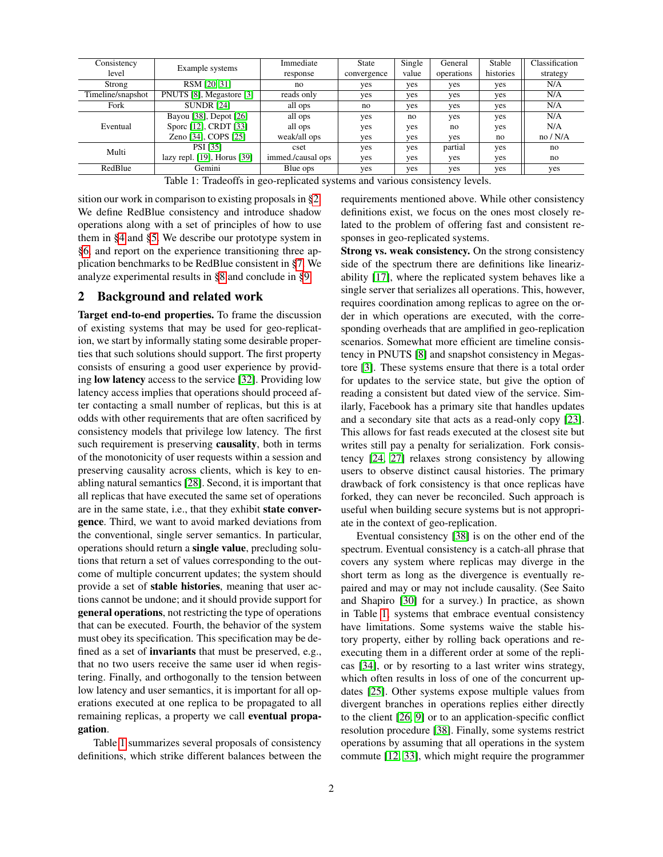| Consistency                                   |                                  | Immediate         | <b>State</b> | Single | General    | Stable    | Classification |
|-----------------------------------------------|----------------------------------|-------------------|--------------|--------|------------|-----------|----------------|
| level                                         | Example systems                  | response          | convergence  | value  | operations | histories | strategy       |
| Strong                                        | RSM [20, 31]                     | no                | yes          | yes    | yes        | yes       | N/A            |
| PNUTS [8], Megastore [3]<br>Timeline/snapshot |                                  | reads only        | yes          | yes    | yes        | yes       | N/A            |
| <b>SUNDR [24]</b><br>Fork                     |                                  | all ops           | no           | yes    | yes        | yes       | N/A            |
| Eventual                                      | Bayou [38], Depot [26]           | all ops           | yes          | no     | yes        | yes       | N/A            |
|                                               | Spore [12], CRDT [33]            | all ops           | yes          | yes    | no         | yes       | N/A            |
|                                               | Zeno [34], COPS [25]             | weak/all ops      | yes          | yes    | yes        | no        | no/N/A         |
| Multi                                         | PSI [35]                         | cset              | yes          | yes    | partial    | yes       | no             |
|                                               | lazy repl. $[19]$ , Horus $[39]$ | immed./causal ops | yes          | yes    | yes        | yes       | no             |
| RedBlue<br>Gemini                             |                                  | Blue ops          | yes          | yes    | yes        | yes       | yes            |

<span id="page-1-1"></span>Table 1: Tradeoffs in geo-replicated systems and various consistency levels.

sition our work in comparison to existing proposals in [§2.](#page-1-0) We define RedBlue consistency and introduce shadow operations along with a set of principles of how to use them in [§4](#page-2-0) and [§5.](#page-4-0) We describe our prototype system in [§6,](#page-6-0) and report on the experience transitioning three application benchmarks to be RedBlue consistent in [§7.](#page-7-0) We analyze experimental results in [§8](#page-9-0) and conclude in [§9.](#page-12-0)

## <span id="page-1-0"></span>2 Background and related work

Target end-to-end properties. To frame the discussion of existing systems that may be used for geo-replication, we start by informally stating some desirable properties that such solutions should support. The first property consists of ensuring a good user experience by providing low latency access to the service [\[32\]](#page-13-0). Providing low latency access implies that operations should proceed after contacting a small number of replicas, but this is at odds with other requirements that are often sacrificed by consistency models that privilege low latency. The first such requirement is preserving causality, both in terms of the monotonicity of user requests within a session and preserving causality across clients, which is key to enabling natural semantics [\[28\]](#page-13-16). Second, it is important that all replicas that have executed the same set of operations are in the same state, i.e., that they exhibit state convergence. Third, we want to avoid marked deviations from the conventional, single server semantics. In particular, operations should return a single value, precluding solutions that return a set of values corresponding to the outcome of multiple concurrent updates; the system should provide a set of stable histories, meaning that user actions cannot be undone; and it should provide support for general operations, not restricting the type of operations that can be executed. Fourth, the behavior of the system must obey its specification. This specification may be defined as a set of invariants that must be preserved, e.g., that no two users receive the same user id when registering. Finally, and orthogonally to the tension between low latency and user semantics, it is important for all operations executed at one replica to be propagated to all remaining replicas, a property we call eventual propagation.

Table [1](#page-1-1) summarizes several proposals of consistency definitions, which strike different balances between the requirements mentioned above. While other consistency definitions exist, we focus on the ones most closely related to the problem of offering fast and consistent responses in geo-replicated systems.

Strong vs. weak consistency. On the strong consistency side of the spectrum there are definitions like linearizability [\[17\]](#page-13-17), where the replicated system behaves like a single server that serializes all operations. This, however, requires coordination among replicas to agree on the order in which operations are executed, with the corresponding overheads that are amplified in geo-replication scenarios. Somewhat more efficient are timeline consistency in PNUTS [\[8\]](#page-13-2) and snapshot consistency in Megastore [\[3\]](#page-13-13). These systems ensure that there is a total order for updates to the service state, but give the option of reading a consistent but dated view of the service. Similarly, Facebook has a primary site that handles updates and a secondary site that acts as a read-only copy [\[23\]](#page-13-18). This allows for fast reads executed at the closest site but writes still pay a penalty for serialization. Fork consistency [\[24,](#page-13-14) [27\]](#page-13-19) relaxes strong consistency by allowing users to observe distinct causal histories. The primary drawback of fork consistency is that once replicas have forked, they can never be reconciled. Such approach is useful when building secure systems but is not appropriate in the context of geo-replication.

Eventual consistency [\[38\]](#page-13-7) is on the other end of the spectrum. Eventual consistency is a catch-all phrase that covers any system where replicas may diverge in the short term as long as the divergence is eventually repaired and may or may not include causality. (See Saito and Shapiro [\[30\]](#page-13-20) for a survey.) In practice, as shown in Table [1,](#page-1-1) systems that embrace eventual consistency have limitations. Some systems waive the stable history property, either by rolling back operations and reexecuting them in a different order at some of the replicas [\[34\]](#page-13-4), or by resorting to a last writer wins strategy, which often results in loss of one of the concurrent updates [\[25\]](#page-13-6). Other systems expose multiple values from divergent branches in operations replies either directly to the client [\[26,](#page-13-8) [9\]](#page-13-1) or to an application-specific conflict resolution procedure [\[38\]](#page-13-7). Finally, some systems restrict operations by assuming that all operations in the system commute [\[12,](#page-13-9) [33\]](#page-13-10), which might require the programmer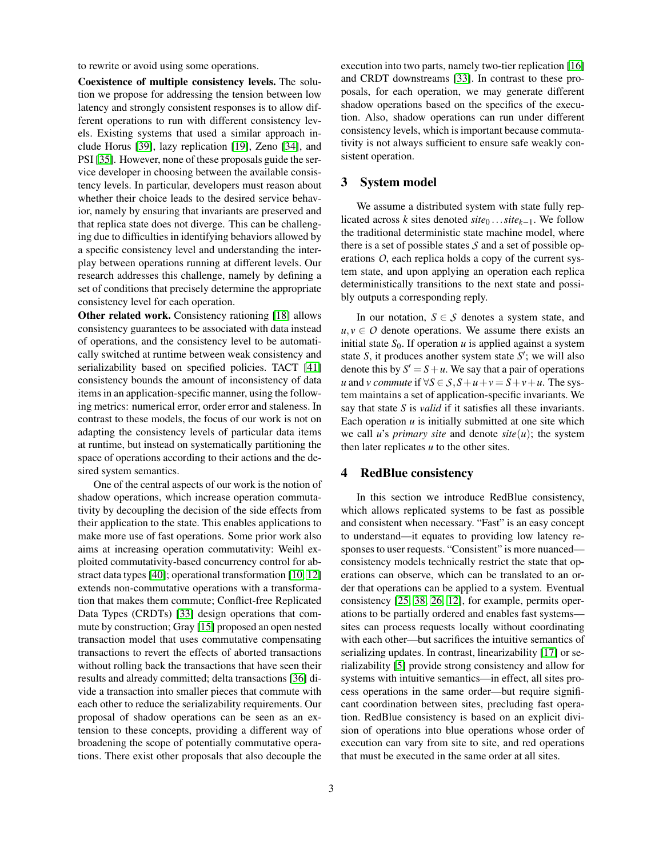to rewrite or avoid using some operations.

Coexistence of multiple consistency levels. The solution we propose for addressing the tension between low latency and strongly consistent responses is to allow different operations to run with different consistency levels. Existing systems that used a similar approach include Horus [\[39\]](#page-13-15), lazy replication [\[19\]](#page-13-3), Zeno [\[34\]](#page-13-4), and PSI [\[35\]](#page-13-5). However, none of these proposals guide the service developer in choosing between the available consistency levels. In particular, developers must reason about whether their choice leads to the desired service behavior, namely by ensuring that invariants are preserved and that replica state does not diverge. This can be challenging due to difficulties in identifying behaviors allowed by a specific consistency level and understanding the interplay between operations running at different levels. Our research addresses this challenge, namely by defining a set of conditions that precisely determine the appropriate consistency level for each operation.

Other related work. Consistency rationing [\[18\]](#page-13-21) allows consistency guarantees to be associated with data instead of operations, and the consistency level to be automatically switched at runtime between weak consistency and serializability based on specified policies. TACT [\[41\]](#page-13-22) consistency bounds the amount of inconsistency of data items in an application-specific manner, using the following metrics: numerical error, order error and staleness. In contrast to these models, the focus of our work is not on adapting the consistency levels of particular data items at runtime, but instead on systematically partitioning the space of operations according to their actions and the desired system semantics.

One of the central aspects of our work is the notion of shadow operations, which increase operation commutativity by decoupling the decision of the side effects from their application to the state. This enables applications to make more use of fast operations. Some prior work also aims at increasing operation commutativity: Weihl exploited commutativity-based concurrency control for abstract data types [\[40\]](#page-13-23); operational transformation [\[10,](#page-13-24) [12\]](#page-13-9) extends non-commutative operations with a transformation that makes them commute; Conflict-free Replicated Data Types (CRDTs) [\[33\]](#page-13-10) design operations that commute by construction; Gray [\[15\]](#page-13-25) proposed an open nested transaction model that uses commutative compensating transactions to revert the effects of aborted transactions without rolling back the transactions that have seen their results and already committed; delta transactions [\[36\]](#page-13-26) divide a transaction into smaller pieces that commute with each other to reduce the serializability requirements. Our proposal of shadow operations can be seen as an extension to these concepts, providing a different way of broadening the scope of potentially commutative operations. There exist other proposals that also decouple the

execution into two parts, namely two-tier replication [\[16\]](#page-13-27) and CRDT downstreams [\[33\]](#page-13-10). In contrast to these proposals, for each operation, we may generate different shadow operations based on the specifics of the execution. Also, shadow operations can run under different consistency levels, which is important because commutativity is not always sufficient to ensure safe weakly consistent operation.

#### 3 System model

We assume a distributed system with state fully replicated across *k* sites denoted  $site_0 \ldots site_{k-1}$ . We follow the traditional deterministic state machine model, where there is a set of possible states *S* and a set of possible operations *O*, each replica holds a copy of the current system state, and upon applying an operation each replica deterministically transitions to the next state and possibly outputs a corresponding reply.

In our notation,  $S \in \mathcal{S}$  denotes a system state, and  $u, v \in O$  denote operations. We assume there exists an initial state  $S_0$ . If operation  $u$  is applied against a system state  $S$ , it produces another system state  $S'$ ; we will also denote this by  $S' = S + u$ . We say that a pair of operations *u* and *v* commute if  $\forall S \in S$ ,  $S + u + v = S + v + u$ . The system maintains a set of application-specific invariants. We say that state *S* is *valid* if it satisfies all these invariants. Each operation  $u$  is initially submitted at one site which we call *u*'s *primary site* and denote  $site(u)$ ; the system then later replicates *u* to the other sites.

# <span id="page-2-0"></span>4 RedBlue consistency

In this section we introduce RedBlue consistency, which allows replicated systems to be fast as possible and consistent when necessary. "Fast" is an easy concept to understand—it equates to providing low latency responses to user requests. "Consistent" is more nuanced consistency models technically restrict the state that operations can observe, which can be translated to an order that operations can be applied to a system. Eventual consistency [\[25,](#page-13-6) [38,](#page-13-7) [26,](#page-13-8) [12\]](#page-13-9), for example, permits operations to be partially ordered and enables fast systems sites can process requests locally without coordinating with each other—but sacrifices the intuitive semantics of serializing updates. In contrast, linearizability [\[17\]](#page-13-17) or serializability [\[5\]](#page-13-28) provide strong consistency and allow for systems with intuitive semantics—in effect, all sites process operations in the same order—but require significant coordination between sites, precluding fast operation. RedBlue consistency is based on an explicit division of operations into blue operations whose order of execution can vary from site to site, and red operations that must be executed in the same order at all sites.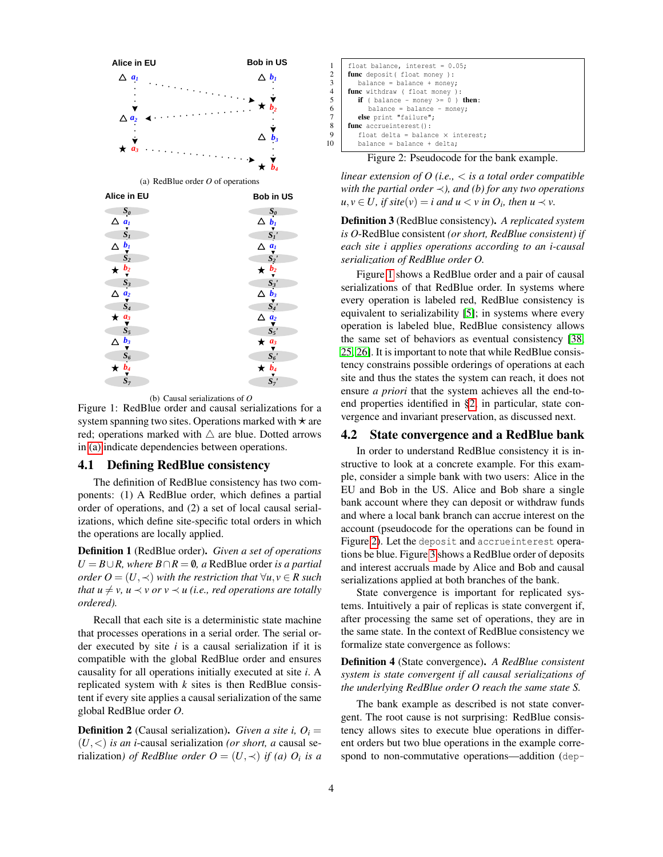<span id="page-3-0"></span>

<span id="page-3-1"></span>(b) Causal serializations of *O*

Figure 1: RedBlue order and causal serializations for a system spanning two sites. Operations marked with  $\star$  are red; operations marked with  $\triangle$  are blue. Dotted arrows in [\(a\)](#page-3-0) indicate dependencies between operations.

## 4.1 Defining RedBlue consistency

The definition of RedBlue consistency has two components: (1) A RedBlue order, which defines a partial order of operations, and (2) a set of local causal serializations, which define site-specific total orders in which the operations are locally applied.

Definition 1 (RedBlue order). *Given a set of operations U* =  $B \cup R$ *, where*  $B \cap R = ∅$ *, a* RedBlue order *is a partial order*  $O = (U, \prec)$  *with the restriction that*  $\forall u, v \in R$  *such that*  $u \neq v$ *,*  $u \prec v$  *or*  $v \prec u$  *(i.e., red operations are totally ordered).*

Recall that each site is a deterministic state machine that processes operations in a serial order. The serial order executed by site *i* is a causal serialization if it is compatible with the global RedBlue order and ensures causality for all operations initially executed at site *i*. A replicated system with *k* sites is then RedBlue consistent if every site applies a causal serialization of the same global RedBlue order *O*.

**Definition 2** (Causal serialization). *Given a site i,*  $O_i$  = (*U*,<) *is an i*-causal serialization *(or short, a* causal serialization) *of RedBlue order*  $O = (U, \prec)$  *if (a)*  $O_i$  *is a* 

|                | float balance, interest = $0.05$ ;               |
|----------------|--------------------------------------------------|
| 2              | func deposit (float money):                      |
| 3              | $balance = balance + money;$                     |
| $\overline{4}$ | func withdraw ( float money ):                   |
| 5              | <b>if</b> (balance - money >= $0$ ) <b>then:</b> |
| 6              | $balance = balance - money;$                     |
| 7              | else print "failure";                            |
| 8              | func accrueinterest():                           |
| 9              | float delta = balance $\times$ interest;         |
| 10             | $balance = balance + delta;$                     |
|                |                                                  |

<span id="page-3-2"></span>Figure 2: Pseudocode for the bank example.

*linear extension of O (i.e.,* < *is a total order compatible with the partial order* ≺*), and (b) for any two operations*  $u, v \in U$ , if site $(v) = i$  and  $u < v$  in  $O_i$ , then  $u \prec v$ .

Definition 3 (RedBlue consistency). *A replicated system is O*-RedBlue consistent *(or short, RedBlue consistent) if each site i applies operations according to an i-causal serialization of RedBlue order O.*

Figure [1](#page-3-1) shows a RedBlue order and a pair of causal serializations of that RedBlue order. In systems where every operation is labeled red, RedBlue consistency is equivalent to serializability [\[5\]](#page-13-28); in systems where every operation is labeled blue, RedBlue consistency allows the same set of behaviors as eventual consistency [\[38,](#page-13-7) [25,](#page-13-6) [26\]](#page-13-8). It is important to note that while RedBlue consistency constrains possible orderings of operations at each site and thus the states the system can reach, it does not ensure *a priori* that the system achieves all the end-toend properties identified in [§2,](#page-1-0) in particular, state convergence and invariant preservation, as discussed next.

#### <span id="page-3-3"></span>4.2 State convergence and a RedBlue bank

In order to understand RedBlue consistency it is instructive to look at a concrete example. For this example, consider a simple bank with two users: Alice in the EU and Bob in the US. Alice and Bob share a single bank account where they can deposit or withdraw funds and where a local bank branch can accrue interest on the account (pseudocode for the operations can be found in Figure [2\)](#page-3-2). Let the deposit and accrueinterest operations be blue. Figure [3](#page-4-1) shows a RedBlue order of deposits and interest accruals made by Alice and Bob and causal serializations applied at both branches of the bank.

State convergence is important for replicated systems. Intuitively a pair of replicas is state convergent if, after processing the same set of operations, they are in the same state. In the context of RedBlue consistency we formalize state convergence as follows:

Definition 4 (State convergence). *A RedBlue consistent system is state convergent if all causal serializations of the underlying RedBlue order O reach the same state S.*

The bank example as described is not state convergent. The root cause is not surprising: RedBlue consistency allows sites to execute blue operations in different orders but two blue operations in the example correspond to non-commutative operations—addition (dep-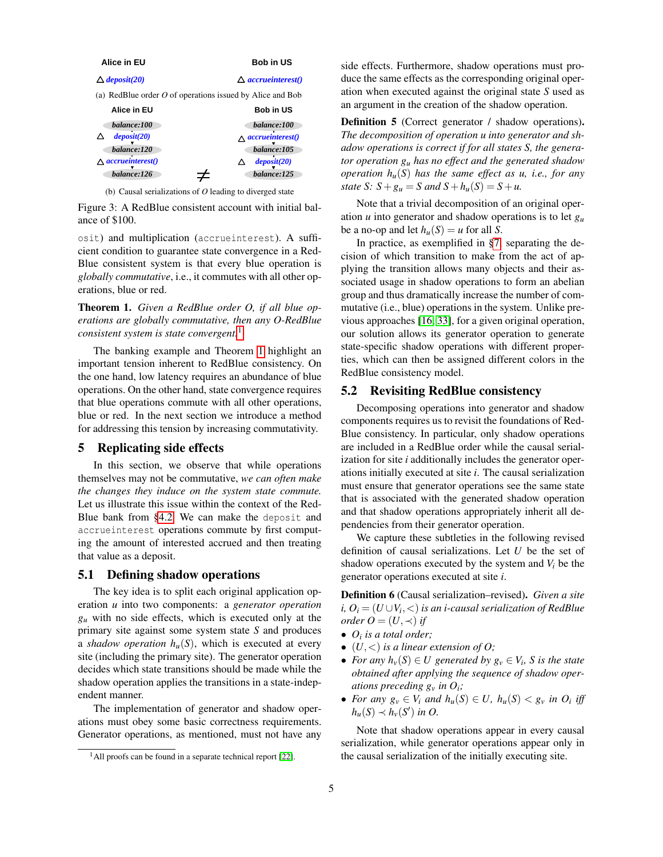| Alice in EU                      | <b>Bob in US</b>                                            |
|----------------------------------|-------------------------------------------------------------|
| $\triangle$ deposit(20)          | $\triangle$ accrueinterest()                                |
|                                  | (a) RedBlue order $O$ of operations issued by Alice and Bob |
| Alice in EU                      | <b>Bob in US</b>                                            |
| balance:100                      | balance:100                                                 |
| deposit (20)                     | $\wedge$ accrueinterest()                                   |
| balance:120                      | balance: 105                                                |
| $\wedge$ <i>accrueinterest()</i> | deposit(20)                                                 |
| balance:126                      | balance:125                                                 |

<span id="page-4-1"></span>(b) Causal serializations of *O* leading to diverged state

Figure 3: A RedBlue consistent account with initial balance of \$100.

osit) and multiplication (accrueinterest). A sufficient condition to guarantee state convergence in a Red-Blue consistent system is that every blue operation is *globally commutative*, i.e., it commutes with all other operations, blue or red.

<span id="page-4-3"></span>Theorem 1. *Given a RedBlue order O, if all blue operations are globally commutative, then any O-RedBlue consistent system is state convergent.*[1](#page-4-2)

The banking example and Theorem [1](#page-4-3) highlight an important tension inherent to RedBlue consistency. On the one hand, low latency requires an abundance of blue operations. On the other hand, state convergence requires that blue operations commute with all other operations, blue or red. In the next section we introduce a method for addressing this tension by increasing commutativity.

## <span id="page-4-0"></span>5 Replicating side effects

In this section, we observe that while operations themselves may not be commutative, *we can often make the changes they induce on the system state commute.* Let us illustrate this issue within the context of the Red-Blue bank from [§4.2.](#page-3-3) We can make the deposit and accrueinterest operations commute by first computing the amount of interested accrued and then treating that value as a deposit.

#### 5.1 Defining shadow operations

The key idea is to split each original application operation *u* into two components: a *generator operation*  $g_u$  with no side effects, which is executed only at the primary site against some system state *S* and produces a *shadow operation*  $h_u(S)$ , which is executed at every site (including the primary site). The generator operation decides which state transitions should be made while the shadow operation applies the transitions in a state-independent manner.

The implementation of generator and shadow operations must obey some basic correctness requirements. Generator operations, as mentioned, must not have any side effects. Furthermore, shadow operations must produce the same effects as the corresponding original operation when executed against the original state *S* used as an argument in the creation of the shadow operation.

Definition 5 (Correct generator / shadow operations). *The decomposition of operation u into generator and shadow operations is correct if for all states S, the generator operation g<sup>u</sup> has no effect and the generated shadow operation hu*(*S*) *has the same effect as u, i.e., for any state S*:  $S + g_u = S$  *and*  $S + h_u(S) = S + u$ .

Note that a trivial decomposition of an original operation *u* into generator and shadow operations is to let *g<sup>u</sup>* be a no-op and let  $h_u(S) = u$  for all *S*.

In practice, as exemplified in [§7,](#page-7-0) separating the decision of which transition to make from the act of applying the transition allows many objects and their associated usage in shadow operations to form an abelian group and thus dramatically increase the number of commutative (i.e., blue) operations in the system. Unlike previous approaches [\[16,](#page-13-27) [33\]](#page-13-10), for a given original operation, our solution allows its generator operation to generate state-specific shadow operations with different properties, which can then be assigned different colors in the RedBlue consistency model.

## 5.2 Revisiting RedBlue consistency

Decomposing operations into generator and shadow components requires us to revisit the foundations of Red-Blue consistency. In particular, only shadow operations are included in a RedBlue order while the causal serialization for site *i* additionally includes the generator operations initially executed at site *i*. The causal serialization must ensure that generator operations see the same state that is associated with the generated shadow operation and that shadow operations appropriately inherit all dependencies from their generator operation.

We capture these subtleties in the following revised definition of causal serializations. Let *U* be the set of shadow operations executed by the system and  $V_i$  be the generator operations executed at site *i*.

Definition 6 (Causal serialization–revised). *Given a site i,*  $O_i$   $=$   $(U \cup V_i,$   $<$   $)$  *is an i-causal serialization of RedBlue order*  $O = (U, \prec)$  *if* 

- *O<sup>i</sup> is a total order;*
- $\bullet$   $(U, <)$  *is a linear extension of O;*
- *For any*  $h_v(S) \in U$  generated by  $g_v \in V_i$ , S is the state *obtained after applying the sequence of shadow operations preceding*  $g_v$  *in*  $O_i$ *;*
- For any  $g_v \in V_i$  and  $h_u(S) \in U$ ,  $h_u(S) < g_v$  in  $O_i$  iff  $h_u(S) \prec h_v(S')$  *in O.*

<span id="page-4-4"></span>Note that shadow operations appear in every causal serialization, while generator operations appear only in the causal serialization of the initially executing site.

<span id="page-4-2"></span> $<sup>1</sup>$ All proofs can be found in a separate technical report [\[22\]](#page-13-29).</sup>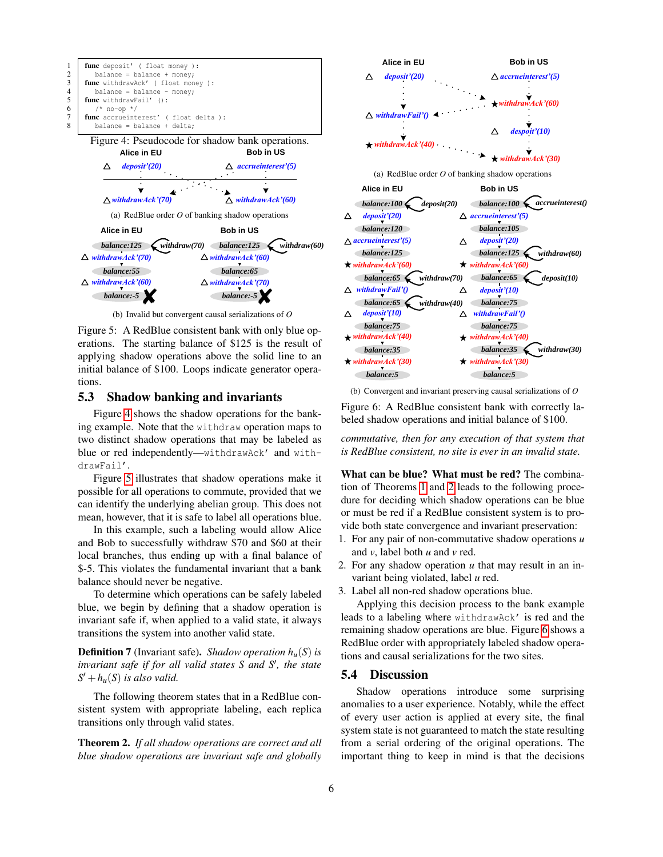<span id="page-5-0"></span>

<span id="page-5-1"></span>(b) Invalid but convergent causal serializations of *O*

Figure 5: A RedBlue consistent bank with only blue operations. The starting balance of \$125 is the result of applying shadow operations above the solid line to an initial balance of \$100. Loops indicate generator operations.

## 5.3 Shadow banking and invariants

Figure [4](#page-5-0) shows the shadow operations for the banking example. Note that the withdraw operation maps to two distinct shadow operations that may be labeled as blue or red independently—withdrawAck' and withdrawFail'.

Figure [5](#page-5-1) illustrates that shadow operations make it possible for all operations to commute, provided that we can identify the underlying abelian group. This does not mean, however, that it is safe to label all operations blue.

In this example, such a labeling would allow Alice and Bob to successfully withdraw \$70 and \$60 at their local branches, thus ending up with a final balance of \$-5. This violates the fundamental invariant that a bank balance should never be negative.

To determine which operations can be safely labeled blue, we begin by defining that a shadow operation is invariant safe if, when applied to a valid state, it always transitions the system into another valid state.

Definition 7 (Invariant safe). *Shadow operation hu*(*S*) *is invariant safe if for all valid states S and S', the state*  $S' + h_u(S)$  *is also valid.* 

The following theorem states that in a RedBlue consistent system with appropriate labeling, each replica transitions only through valid states.

<span id="page-5-2"></span>Theorem 2. *If all shadow operations are correct and all blue shadow operations are invariant safe and globally*



<span id="page-5-3"></span>(b) Convergent and invariant preserving causal serializations of *O*

Figure 6: A RedBlue consistent bank with correctly labeled shadow operations and initial balance of \$100.

*commutative, then for any execution of that system that is RedBlue consistent, no site is ever in an invalid state.*

What can be blue? What must be red? The combination of Theorems [1](#page-4-3) and [2](#page-5-2) leads to the following procedure for deciding which shadow operations can be blue or must be red if a RedBlue consistent system is to provide both state convergence and invariant preservation:

- 1. For any pair of non-commutative shadow operations *u* and *v*, label both *u* and *v* red.
- 2. For any shadow operation *u* that may result in an invariant being violated, label *u* red.
- 3. Label all non-red shadow operations blue.

Applying this decision process to the bank example leads to a labeling where withdrawAck' is red and the remaining shadow operations are blue. Figure [6](#page-5-3) shows a RedBlue order with appropriately labeled shadow operations and causal serializations for the two sites.

#### 5.4 Discussion

Shadow operations introduce some surprising anomalies to a user experience. Notably, while the effect of every user action is applied at every site, the final system state is not guaranteed to match the state resulting from a serial ordering of the original operations. The important thing to keep in mind is that the decisions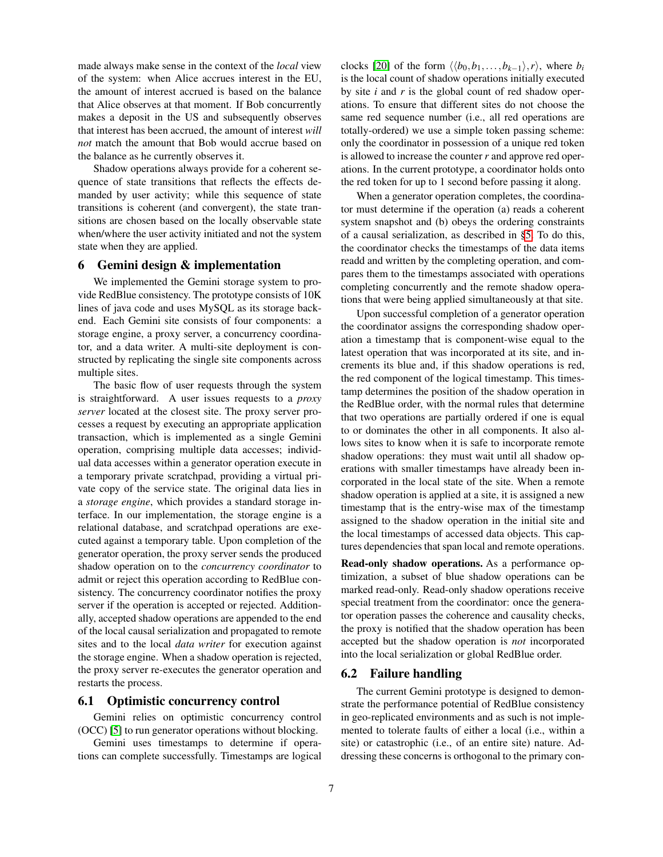made always make sense in the context of the *local* view of the system: when Alice accrues interest in the EU, the amount of interest accrued is based on the balance that Alice observes at that moment. If Bob concurrently makes a deposit in the US and subsequently observes that interest has been accrued, the amount of interest *will not* match the amount that Bob would accrue based on the balance as he currently observes it.

Shadow operations always provide for a coherent sequence of state transitions that reflects the effects demanded by user activity; while this sequence of state transitions is coherent (and convergent), the state transitions are chosen based on the locally observable state when/where the user activity initiated and not the system state when they are applied.

## <span id="page-6-0"></span>6 Gemini design & implementation

We implemented the Gemini storage system to provide RedBlue consistency. The prototype consists of 10K lines of java code and uses MySQL as its storage backend. Each Gemini site consists of four components: a storage engine, a proxy server, a concurrency coordinator, and a data writer. A multi-site deployment is constructed by replicating the single site components across multiple sites.

The basic flow of user requests through the system is straightforward. A user issues requests to a *proxy server* located at the closest site. The proxy server processes a request by executing an appropriate application transaction, which is implemented as a single Gemini operation, comprising multiple data accesses; individual data accesses within a generator operation execute in a temporary private scratchpad, providing a virtual private copy of the service state. The original data lies in a *storage engine*, which provides a standard storage interface. In our implementation, the storage engine is a relational database, and scratchpad operations are executed against a temporary table. Upon completion of the generator operation, the proxy server sends the produced shadow operation on to the *concurrency coordinator* to admit or reject this operation according to RedBlue consistency. The concurrency coordinator notifies the proxy server if the operation is accepted or rejected. Additionally, accepted shadow operations are appended to the end of the local causal serialization and propagated to remote sites and to the local *data writer* for execution against the storage engine. When a shadow operation is rejected, the proxy server re-executes the generator operation and restarts the process.

## 6.1 Optimistic concurrency control

Gemini relies on optimistic concurrency control (OCC) [\[5\]](#page-13-28) to run generator operations without blocking.

Gemini uses timestamps to determine if operations can complete successfully. Timestamps are logical clocks [\[20\]](#page-13-11) of the form  $\langle \langle b_0, b_1, \ldots, b_{k-1} \rangle, r \rangle$ , where *b<sub>i</sub>* is the local count of shadow operations initially executed by site *i* and *r* is the global count of red shadow operations. To ensure that different sites do not choose the same red sequence number (i.e., all red operations are totally-ordered) we use a simple token passing scheme: only the coordinator in possession of a unique red token is allowed to increase the counter *r* and approve red operations. In the current prototype, a coordinator holds onto the red token for up to 1 second before passing it along.

When a generator operation completes, the coordinator must determine if the operation (a) reads a coherent system snapshot and (b) obeys the ordering constraints of a causal serialization, as described in [§5.](#page-4-0) To do this, the coordinator checks the timestamps of the data items readd and written by the completing operation, and compares them to the timestamps associated with operations completing concurrently and the remote shadow operations that were being applied simultaneously at that site.

Upon successful completion of a generator operation the coordinator assigns the corresponding shadow operation a timestamp that is component-wise equal to the latest operation that was incorporated at its site, and increments its blue and, if this shadow operations is red, the red component of the logical timestamp. This timestamp determines the position of the shadow operation in the RedBlue order, with the normal rules that determine that two operations are partially ordered if one is equal to or dominates the other in all components. It also allows sites to know when it is safe to incorporate remote shadow operations: they must wait until all shadow operations with smaller timestamps have already been incorporated in the local state of the site. When a remote shadow operation is applied at a site, it is assigned a new timestamp that is the entry-wise max of the timestamp assigned to the shadow operation in the initial site and the local timestamps of accessed data objects. This captures dependencies that span local and remote operations.

Read-only shadow operations. As a performance optimization, a subset of blue shadow operations can be marked read-only. Read-only shadow operations receive special treatment from the coordinator: once the generator operation passes the coherence and causality checks, the proxy is notified that the shadow operation has been accepted but the shadow operation is *not* incorporated into the local serialization or global RedBlue order.

#### 6.2 Failure handling

The current Gemini prototype is designed to demonstrate the performance potential of RedBlue consistency in geo-replicated environments and as such is not implemented to tolerate faults of either a local (i.e., within a site) or catastrophic (i.e., of an entire site) nature. Addressing these concerns is orthogonal to the primary con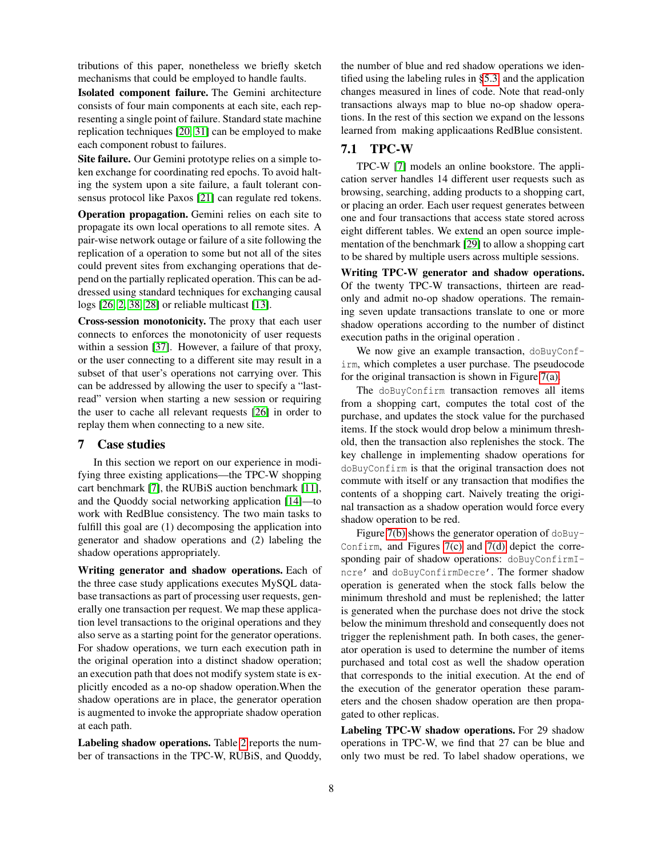tributions of this paper, nonetheless we briefly sketch mechanisms that could be employed to handle faults.

Isolated component failure. The Gemini architecture consists of four main components at each site, each representing a single point of failure. Standard state machine replication techniques [\[20,](#page-13-11) [31\]](#page-13-12) can be employed to make each component robust to failures.

Site failure. Our Gemini prototype relies on a simple token exchange for coordinating red epochs. To avoid halting the system upon a site failure, a fault tolerant consensus protocol like Paxos [\[21\]](#page-13-30) can regulate red tokens.

Operation propagation. Gemini relies on each site to propagate its own local operations to all remote sites. A pair-wise network outage or failure of a site following the replication of a operation to some but not all of the sites could prevent sites from exchanging operations that depend on the partially replicated operation. This can be addressed using standard techniques for exchanging causal logs [\[26,](#page-13-8) [2,](#page-13-31) [38,](#page-13-7) [28\]](#page-13-16) or reliable multicast [\[13\]](#page-13-32).

Cross-session monotonicity. The proxy that each user connects to enforces the monotonicity of user requests within a session [\[37\]](#page-13-33). However, a failure of that proxy, or the user connecting to a different site may result in a subset of that user's operations not carrying over. This can be addressed by allowing the user to specify a "lastread" version when starting a new session or requiring the user to cache all relevant requests [\[26\]](#page-13-8) in order to replay them when connecting to a new site.

## <span id="page-7-0"></span>7 Case studies

In this section we report on our experience in modifying three existing applications—the TPC-W shopping cart benchmark [\[7\]](#page-13-34), the RUBiS auction benchmark [\[11\]](#page-13-35), and the Quoddy social networking application [\[14\]](#page-13-36)—to work with RedBlue consistency. The two main tasks to fulfill this goal are (1) decomposing the application into generator and shadow operations and (2) labeling the shadow operations appropriately.

Writing generator and shadow operations. Each of the three case study applications executes MySQL database transactions as part of processing user requests, generally one transaction per request. We map these application level transactions to the original operations and they also serve as a starting point for the generator operations. For shadow operations, we turn each execution path in the original operation into a distinct shadow operation; an execution path that does not modify system state is explicitly encoded as a no-op shadow operation.When the shadow operations are in place, the generator operation is augmented to invoke the appropriate shadow operation at each path.

Labeling shadow operations. Table [2](#page-8-0) reports the number of transactions in the TPC-W, RUBiS, and Quoddy, the number of blue and red shadow operations we identified using the labeling rules in [§5.3,](#page-4-4) and the application changes measured in lines of code. Note that read-only transactions always map to blue no-op shadow operations. In the rest of this section we expand on the lessons learned from making applicaations RedBlue consistent.

# <span id="page-7-1"></span>7.1 TPC-W

TPC-W [\[7\]](#page-13-34) models an online bookstore. The application server handles 14 different user requests such as browsing, searching, adding products to a shopping cart, or placing an order. Each user request generates between one and four transactions that access state stored across eight different tables. We extend an open source implementation of the benchmark [\[29\]](#page-13-37) to allow a shopping cart to be shared by multiple users across multiple sessions.

Writing TPC-W generator and shadow operations. Of the twenty TPC-W transactions, thirteen are readonly and admit no-op shadow operations. The remaining seven update transactions translate to one or more shadow operations according to the number of distinct execution paths in the original operation .

We now give an example transaction, doBuyConfirm, which completes a user purchase. The pseudocode for the original transaction is shown in Figure [7\(a\).](#page-8-1)

The doBuyConfirm transaction removes all items from a shopping cart, computes the total cost of the purchase, and updates the stock value for the purchased items. If the stock would drop below a minimum threshold, then the transaction also replenishes the stock. The key challenge in implementing shadow operations for doBuyConfirm is that the original transaction does not commute with itself or any transaction that modifies the contents of a shopping cart. Naively treating the original transaction as a shadow operation would force every shadow operation to be red.

Figure [7\(b\)](#page-8-2) shows the generator operation of doBuy-Confirm, and Figures  $7(c)$  and  $7(d)$  depict the corresponding pair of shadow operations: doBuyConfirmIncre' and doBuyConfirmDecre'. The former shadow operation is generated when the stock falls below the minimum threshold and must be replenished; the latter is generated when the purchase does not drive the stock below the minimum threshold and consequently does not trigger the replenishment path. In both cases, the generator operation is used to determine the number of items purchased and total cost as well the shadow operation that corresponds to the initial execution. At the end of the execution of the generator operation these parameters and the chosen shadow operation are then propagated to other replicas.

Labeling TPC-W shadow operations. For 29 shadow operations in TPC-W, we find that 27 can be blue and only two must be red. To label shadow operations, we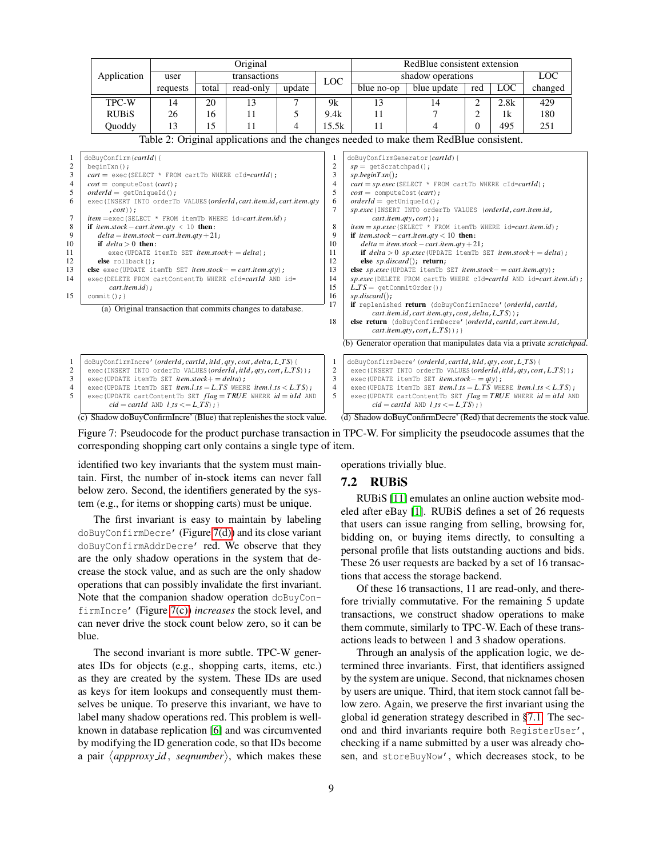<span id="page-8-0"></span>

|                                                                                                              | Original                                                                                                                                                                                                                                                                                                                                                                                                                                                                                                                                                                                                                                                                                                                                                                                                                                                                            |                                                     |              |           | RedBlue consistent extension |                                                                                                                           |                                                                                                                                                                                                                                                                                                                                                                                                                                                                                                                                                                                                                                                                                                                                                                                                                                                                                                                                                                                                                                                                                                    |                                                                                                                                                                                                                                                                                                         |                |            |                                                                    |
|--------------------------------------------------------------------------------------------------------------|-------------------------------------------------------------------------------------------------------------------------------------------------------------------------------------------------------------------------------------------------------------------------------------------------------------------------------------------------------------------------------------------------------------------------------------------------------------------------------------------------------------------------------------------------------------------------------------------------------------------------------------------------------------------------------------------------------------------------------------------------------------------------------------------------------------------------------------------------------------------------------------|-----------------------------------------------------|--------------|-----------|------------------------------|---------------------------------------------------------------------------------------------------------------------------|----------------------------------------------------------------------------------------------------------------------------------------------------------------------------------------------------------------------------------------------------------------------------------------------------------------------------------------------------------------------------------------------------------------------------------------------------------------------------------------------------------------------------------------------------------------------------------------------------------------------------------------------------------------------------------------------------------------------------------------------------------------------------------------------------------------------------------------------------------------------------------------------------------------------------------------------------------------------------------------------------------------------------------------------------------------------------------------------------|---------------------------------------------------------------------------------------------------------------------------------------------------------------------------------------------------------------------------------------------------------------------------------------------------------|----------------|------------|--------------------------------------------------------------------|
|                                                                                                              | Application                                                                                                                                                                                                                                                                                                                                                                                                                                                                                                                                                                                                                                                                                                                                                                                                                                                                         | user                                                | transactions |           |                              | LOC.                                                                                                                      | shadow operations                                                                                                                                                                                                                                                                                                                                                                                                                                                                                                                                                                                                                                                                                                                                                                                                                                                                                                                                                                                                                                                                                  |                                                                                                                                                                                                                                                                                                         |                |            | <b>LOC</b>                                                         |
|                                                                                                              |                                                                                                                                                                                                                                                                                                                                                                                                                                                                                                                                                                                                                                                                                                                                                                                                                                                                                     | requests                                            | total        | read-only | update                       |                                                                                                                           | blue no-op                                                                                                                                                                                                                                                                                                                                                                                                                                                                                                                                                                                                                                                                                                                                                                                                                                                                                                                                                                                                                                                                                         | blue update                                                                                                                                                                                                                                                                                             | red            | <b>LOC</b> | changed                                                            |
|                                                                                                              | TPC-W                                                                                                                                                                                                                                                                                                                                                                                                                                                                                                                                                                                                                                                                                                                                                                                                                                                                               | 14                                                  | 20           | 13        | 7                            | 9k                                                                                                                        | 13                                                                                                                                                                                                                                                                                                                                                                                                                                                                                                                                                                                                                                                                                                                                                                                                                                                                                                                                                                                                                                                                                                 | 14                                                                                                                                                                                                                                                                                                      | $\overline{2}$ | 2.8k       | 429                                                                |
|                                                                                                              | <b>RUBiS</b>                                                                                                                                                                                                                                                                                                                                                                                                                                                                                                                                                                                                                                                                                                                                                                                                                                                                        | 26                                                  | 16           | 11        | 5                            | 9.4k                                                                                                                      | 11                                                                                                                                                                                                                                                                                                                                                                                                                                                                                                                                                                                                                                                                                                                                                                                                                                                                                                                                                                                                                                                                                                 | 7                                                                                                                                                                                                                                                                                                       | 2              | 1k         | 180                                                                |
|                                                                                                              | Quoddy                                                                                                                                                                                                                                                                                                                                                                                                                                                                                                                                                                                                                                                                                                                                                                                                                                                                              | 13                                                  | 15           | 11        | 4                            | 15.5k                                                                                                                     | 11                                                                                                                                                                                                                                                                                                                                                                                                                                                                                                                                                                                                                                                                                                                                                                                                                                                                                                                                                                                                                                                                                                 | 4                                                                                                                                                                                                                                                                                                       | 0              | 495        | 251                                                                |
|                                                                                                              |                                                                                                                                                                                                                                                                                                                                                                                                                                                                                                                                                                                                                                                                                                                                                                                                                                                                                     |                                                     |              |           |                              |                                                                                                                           |                                                                                                                                                                                                                                                                                                                                                                                                                                                                                                                                                                                                                                                                                                                                                                                                                                                                                                                                                                                                                                                                                                    |                                                                                                                                                                                                                                                                                                         |                |            |                                                                    |
| 1<br>$\overline{c}$<br>3<br>$\overline{4}$<br>5<br>6<br>$\tau$<br>8<br>9<br>10<br>11<br>12<br>13<br>14<br>15 | Table 2: Original applications and the changes needed to make them RedBlue consistent.<br>doBuyConfirm(cartId){<br>$begin(x)$ ;<br>$cart = exec(SEXECT * FROM cartTb WHERE cId=cartId);$<br>$cost = computeCost(cart);$<br>$orderId = getUniquell();$<br>exec (INSERT INTO orderTb VALUES (orderId, cart.item.id, cart.item.gty<br>$\cdot \textit{cost}$ ) :<br><i>item</i> = exec (SELECT * FROM itemTb WHERE id=cart.item.id);<br>if item.stock - cart.item.qty < 10 then:<br>$delta = item.\,stock - cart.\,item.gt$ y + 21;<br>if $delta > 0$ then:<br>exec (UPDATE itemTb SET $item stock += delta$ );<br>$else$ $rollback()$ ;<br><b>else</b> exec (UPDATE itemTb SET <i>item.stock - = cart.item.qty</i> );<br>exec (DELETE FROM cartContentTb WHERE cId=cartId AND id=<br>$cart.timem.id$ ;<br>$commit()$ ; }<br>(a) Original transaction that commits changes to database. |                                                     |              |           |                              | 1<br>$\overline{c}$<br>3<br>$\overline{4}$<br>5<br>6<br>7<br>8<br>9<br>10<br>11<br>12<br>13<br>14<br>15<br>16<br>17<br>18 | doBuyConfirmGenerator(cartId){<br>$sp =$ qetScratchpad();<br>$sp.begin Txn()$ ;<br>$cart = sp.exec(SEXECT * FROM cartTb WHERE cId=cartId);$<br>$cost = computeCost(cart);$<br>$orderId = getUniformed()$ ;<br>sp.exec(INSERT INTO orderTb VALUES (orderId, cart.item.id,<br>$cart.time$ , $cy, cost)$ ;<br>$item = sp.execute(\text{SELECT} * \text{ FROM itemTb WHERE id} = cart.items)$ ;<br>if item.stock – cart.item.gty < 10 then:<br>$delta = item.\,stock - cart.\,item.gt + 21;$<br>if $delta > 0$ sp.exec (UPDATE itemTb SET item.stock + = delta);<br>else $sp.discard()$ ; return;<br>else sp.exec(UPDATE itemTb SET item.stock - = cart.item.qty);<br>sp.exec(DELETE FROM cartTb WHERE cId=cartId AND id=cart.item.id);<br>$L$ <i>TS</i> = qetCommitOrder();<br>$sp.discard()$ ;<br>if replenished return (doBuyConfirmIncre' (orderId, cartId,<br>cart.item.id, cart.item.qty, cost, delta, L_TS));<br>else return (doBuyConfirmDecre' (orderId, cartId, cart.item.Id,<br>$cart.time$ , $cost, L_TS$ ) ; }<br>(b) Generator operation that manipulates data via a private scratchpad. |                                                                                                                                                                                                                                                                                                         |                |            |                                                                    |
| 1<br>$\overline{c}$<br>3<br>$\overline{4}$<br>5                                                              | doBuyConfirmIncre' (orderId, cartId, itId, qty, cost, delta, L_TS) {<br>exec(INSERT INTO orderTb VALUES(orderId, itId, qty, cost, L_TS));<br>exec (UPDATE itemTb SET <i>item.stock</i> + = $delta$ );<br>exec (UPDATE itemTb SET <i>item.l_is</i> = $L$ <i>TS</i> WHERE <i>item.l_is</i> < $L$ <i>TS</i> );<br>exec (UPDATE cartContentTb SET $flag = TRUE$ WHERE $id = itId$ AND                                                                                                                                                                                                                                                                                                                                                                                                                                                                                                   | $cid = cartId$ AND $l$ $\perp$ s $<=$ $L$ $TS$ ); } |              |           |                              | $\mathbf{1}$<br>$\sqrt{2}$<br>3<br>$\overline{4}$<br>5                                                                    | doBuyConfirmDecre' (orderId, cartId, itId, qty, cost, L_TS) {                                                                                                                                                                                                                                                                                                                                                                                                                                                                                                                                                                                                                                                                                                                                                                                                                                                                                                                                                                                                                                      | exec(INSERT INTO orderTb VALUES(orderId, itId, qty, cost, L_TS));<br>exec (UPDATE itemTb SET <i>item.stock- = qty</i> );<br>exec (UPDATE itemTb SET <i>item.l_ts</i> = $L$ <i>TS</i> WHERE <i>item.l_ts</i> < $L$ <i>TS</i> );<br>$cid = cartId$ AND $l$ <sub>J</sub> s $<=$ $L$ <sub>J</sub> S $)$ ; } |                |            | exec (UPDATE cartContentTb SET $flag = TRUE$ WHERE $id = itId$ AND |

<span id="page-8-3"></span>(c) Shadow doBuyConfirmIncre' (Blue) that replenishes the stock value.

<span id="page-8-1"></span> $15$ 

Figure 7: Pseudocode for the product purchase transaction in TPC-W. For simplicity the pseudocode assumes that the corresponding shopping cart only contains a single type of item.

identified two key invariants that the system must maintain. First, the number of in-stock items can never fall below zero. Second, the identifiers generated by the system (e.g., for items or shopping carts) must be unique.

The first invariant is easy to maintain by labeling doBuyConfirmDecre' (Figure [7\(d\)\)](#page-8-4) and its close variant doBuyConfirmAddrDecre' red. We observe that they are the only shadow operations in the system that decrease the stock value, and as such are the only shadow operations that can possibly invalidate the first invariant. Note that the companion shadow operation doBuyConfirmIncre' (Figure [7\(c\)\)](#page-8-3) *increases* the stock level, and can never drive the stock count below zero, so it can be blue.

The second invariant is more subtle. TPC-W generates IDs for objects (e.g., shopping carts, items, etc.) as they are created by the system. These IDs are used as keys for item lookups and consequently must themselves be unique. To preserve this invariant, we have to label many shadow operations red. This problem is wellknown in database replication [\[6\]](#page-13-38) and was circumvented by modifying the ID generation code, so that IDs become a pair  $\langle$ *appproxy\_id*, *seqnumber* $\rangle$ , which makes these operations trivially blue.

#### 7.2 RUBiS

RUBiS [\[11\]](#page-13-35) emulates an online auction website modeled after eBay [\[1\]](#page-13-39). RUBiS defines a set of 26 requests that users can issue ranging from selling, browsing for, bidding on, or buying items directly, to consulting a personal profile that lists outstanding auctions and bids. These 26 user requests are backed by a set of 16 transactions that access the storage backend.

<span id="page-8-4"></span><span id="page-8-2"></span>(d) Shadow doBuyConfirmDecre' (Red) that decrements the stock value.

Of these 16 transactions, 11 are read-only, and therefore trivially commutative. For the remaining 5 update transactions, we construct shadow operations to make them commute, similarly to TPC-W. Each of these transactions leads to between 1 and 3 shadow operations.

Through an analysis of the application logic, we determined three invariants. First, that identifiers assigned by the system are unique. Second, that nicknames chosen by users are unique. Third, that item stock cannot fall below zero. Again, we preserve the first invariant using the global id generation strategy described in [§7.1.](#page-7-1) The second and third invariants require both RegisterUser', checking if a name submitted by a user was already chosen, and storeBuyNow', which decreases stock, to be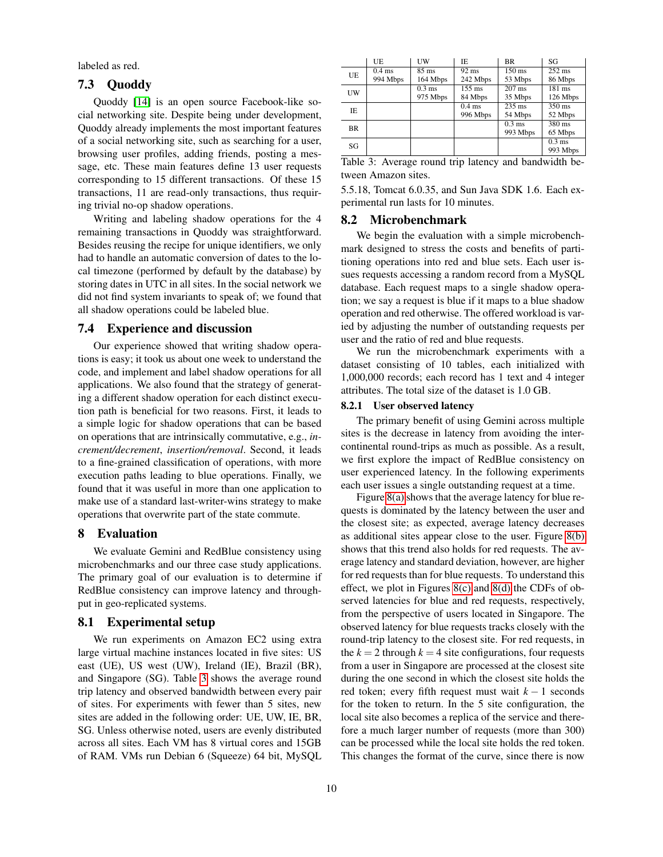labeled as red.

## 7.3 Quoddy

Quoddy [\[14\]](#page-13-36) is an open source Facebook-like social networking site. Despite being under development, Quoddy already implements the most important features of a social networking site, such as searching for a user, browsing user profiles, adding friends, posting a message, etc. These main features define 13 user requests corresponding to 15 different transactions. Of these 15 transactions, 11 are read-only transactions, thus requiring trivial no-op shadow operations.

Writing and labeling shadow operations for the 4 remaining transactions in Quoddy was straightforward. Besides reusing the recipe for unique identifiers, we only had to handle an automatic conversion of dates to the local timezone (performed by default by the database) by storing dates in UTC in all sites. In the social network we did not find system invariants to speak of; we found that all shadow operations could be labeled blue.

## 7.4 Experience and discussion

Our experience showed that writing shadow operations is easy; it took us about one week to understand the code, and implement and label shadow operations for all applications. We also found that the strategy of generating a different shadow operation for each distinct execution path is beneficial for two reasons. First, it leads to a simple logic for shadow operations that can be based on operations that are intrinsically commutative, e.g., *increment/decrement*, *insertion/removal*. Second, it leads to a fine-grained classification of operations, with more execution paths leading to blue operations. Finally, we found that it was useful in more than one application to make use of a standard last-writer-wins strategy to make operations that overwrite part of the state commute.

## <span id="page-9-0"></span>8 Evaluation

We evaluate Gemini and RedBlue consistency using microbenchmarks and our three case study applications. The primary goal of our evaluation is to determine if RedBlue consistency can improve latency and throughput in geo-replicated systems.

#### 8.1 Experimental setup

We run experiments on Amazon EC2 using extra large virtual machine instances located in five sites: US east (UE), US west (UW), Ireland (IE), Brazil (BR), and Singapore (SG). Table [3](#page-9-1) shows the average round trip latency and observed bandwidth between every pair of sites. For experiments with fewer than 5 sites, new sites are added in the following order: UE, UW, IE, BR, SG. Unless otherwise noted, users are evenly distributed across all sites. Each VM has 8 virtual cores and 15GB of RAM. VMs run Debian 6 (Squeeze) 64 bit, MySQL

|           | UE       | UW              | IE                 | <b>BR</b>        | SG               |
|-----------|----------|-----------------|--------------------|------------------|------------------|
| <b>UE</b> | $0.4$ ms | $85 \text{ ms}$ | $\overline{92}$ ms | $150 \text{ ms}$ | $252 \text{ ms}$ |
|           | 994 Mbps | 164 Mbps        | 242 Mbps           | 53 Mbps          | 86 Mbps          |
| UW        |          | $0.3$ ms        | $155 \text{ ms}$   | $207$ ms         | 181 ms           |
|           |          | 975 Mbps        | 84 Mbps            | 35 Mbps          | 126 Mbps         |
| IE.       |          |                 | $0.4$ ms           | $235$ ms         | $350 \text{ ms}$ |
|           |          |                 | 996 Mbps           | 54 Mbps          | 52 Mbps          |
| <b>BR</b> |          |                 |                    | $0.3 \text{ ms}$ | 380 ms           |
|           |          |                 |                    | 993 Mbps         | 65 Mbps          |
| SG        |          |                 |                    |                  | $0.3$ ms         |
|           |          |                 |                    |                  | 993 Mbps         |
|           |          |                 |                    |                  |                  |

<span id="page-9-1"></span>Table 3: Average round trip latency and bandwidth between Amazon sites.

5.5.18, Tomcat 6.0.35, and Sun Java SDK 1.6. Each experimental run lasts for 10 minutes.

## 8.2 Microbenchmark

We begin the evaluation with a simple microbenchmark designed to stress the costs and benefits of partitioning operations into red and blue sets. Each user issues requests accessing a random record from a MySQL database. Each request maps to a single shadow operation; we say a request is blue if it maps to a blue shadow operation and red otherwise. The offered workload is varied by adjusting the number of outstanding requests per user and the ratio of red and blue requests.

We run the microbenchmark experiments with a dataset consisting of 10 tables, each initialized with 1,000,000 records; each record has 1 text and 4 integer attributes. The total size of the dataset is 1.0 GB.

#### 8.2.1 User observed latency

The primary benefit of using Gemini across multiple sites is the decrease in latency from avoiding the intercontinental round-trips as much as possible. As a result, we first explore the impact of RedBlue consistency on user experienced latency. In the following experiments each user issues a single outstanding request at a time.

Figure [8\(a\)](#page-10-0) shows that the average latency for blue requests is dominated by the latency between the user and the closest site; as expected, average latency decreases as additional sites appear close to the user. Figure [8\(b\)](#page-10-1) shows that this trend also holds for red requests. The average latency and standard deviation, however, are higher for red requests than for blue requests. To understand this effect, we plot in Figures [8\(c\)](#page-10-2) and [8\(d\)](#page-10-3) the CDFs of observed latencies for blue and red requests, respectively, from the perspective of users located in Singapore. The observed latency for blue requests tracks closely with the round-trip latency to the closest site. For red requests, in the  $k = 2$  through  $k = 4$  site configurations, four requests from a user in Singapore are processed at the closest site during the one second in which the closest site holds the red token; every fifth request must wait *k* − 1 seconds for the token to return. In the 5 site configuration, the local site also becomes a replica of the service and therefore a much larger number of requests (more than 300) can be processed while the local site holds the red token. This changes the format of the curve, since there is now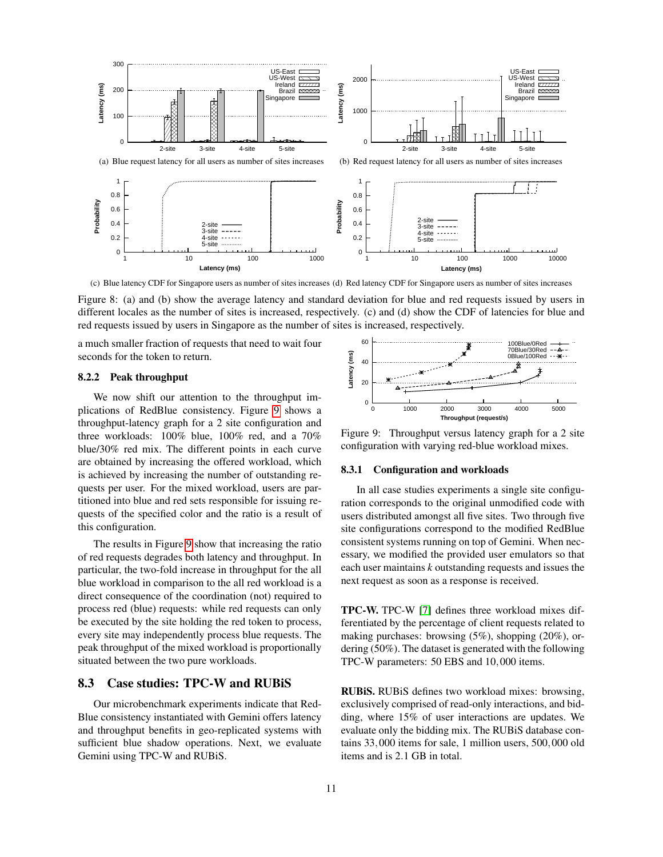<span id="page-10-0"></span>

<span id="page-10-2"></span>(c) Blue latency CDF for Singapore users as number of sites increases (d) Red latency CDF for Singapore users as number of sites increases

Figure 8: (a) and (b) show the average latency and standard deviation for blue and red requests issued by users in different locales as the number of sites is increased, respectively. (c) and (d) show the CDF of latencies for blue and red requests issued by users in Singapore as the number of sites is increased, respectively.

a much smaller fraction of requests that need to wait four seconds for the token to return.

#### 8.2.2 Peak throughput

We now shift our attention to the throughput implications of RedBlue consistency. Figure [9](#page-10-4) shows a throughput-latency graph for a 2 site configuration and three workloads: 100% blue, 100% red, and a 70% blue/30% red mix. The different points in each curve are obtained by increasing the offered workload, which is achieved by increasing the number of outstanding requests per user. For the mixed workload, users are partitioned into blue and red sets responsible for issuing requests of the specified color and the ratio is a result of this configuration.

The results in Figure [9](#page-10-4) show that increasing the ratio of red requests degrades both latency and throughput. In particular, the two-fold increase in throughput for the all blue workload in comparison to the all red workload is a direct consequence of the coordination (not) required to process red (blue) requests: while red requests can only be executed by the site holding the red token to process, every site may independently process blue requests. The peak throughput of the mixed workload is proportionally situated between the two pure workloads.

#### 8.3 Case studies: TPC-W and RUBiS

Our microbenchmark experiments indicate that Red-Blue consistency instantiated with Gemini offers latency and throughput benefits in geo-replicated systems with sufficient blue shadow operations. Next, we evaluate Gemini using TPC-W and RUBiS.

<span id="page-10-3"></span><span id="page-10-1"></span>

<span id="page-10-4"></span>Figure 9: Throughput versus latency graph for a 2 site configuration with varying red-blue workload mixes.

#### 8.3.1 Configuration and workloads

In all case studies experiments a single site configuration corresponds to the original unmodified code with users distributed amongst all five sites. Two through five site configurations correspond to the modified RedBlue consistent systems running on top of Gemini. When necessary, we modified the provided user emulators so that each user maintains *k* outstanding requests and issues the next request as soon as a response is received.

TPC-W. TPC-W [\[7\]](#page-13-34) defines three workload mixes differentiated by the percentage of client requests related to making purchases: browsing (5%), shopping (20%), ordering (50%). The dataset is generated with the following TPC-W parameters: 50 EBS and 10,000 items.

RUBiS. RUBiS defines two workload mixes: browsing, exclusively comprised of read-only interactions, and bidding, where 15% of user interactions are updates. We evaluate only the bidding mix. The RUBiS database contains 33,000 items for sale, 1 million users, 500,000 old items and is 2.1 GB in total.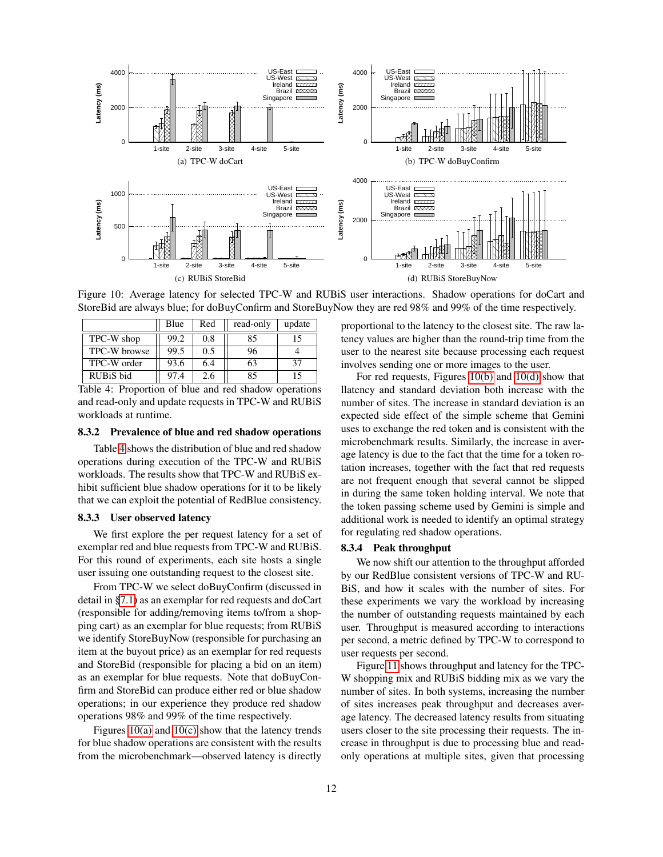<span id="page-11-1"></span>

<span id="page-11-2"></span>Figure 10: Average latency for selected TPC-W and RUBiS user interactions. Shadow operations for doCart and StoreBid are always blue; for doBuyConfirm and StoreBuyNow they are red 98% and 99% of the time respectively.

|              | Blue | Red | read-only | update |
|--------------|------|-----|-----------|--------|
| TPC-W shop   | 99.2 | 0.8 | 85        | 15     |
| TPC-W browse | 99.5 | 0.5 | 96        |        |
| TPC-W order  | 93.6 | 6.4 | 63        | 37     |
| RUBiS bid    | 97.4 | 2.6 | 85        | 15     |

<span id="page-11-0"></span>Table 4: Proportion of blue and red shadow operations and read-only and update requests in TPC-W and RUBiS workloads at runtime.

#### 8.3.2 Prevalence of blue and red shadow operations

Table [4](#page-11-0) shows the distribution of blue and red shadow operations during execution of the TPC-W and RUBiS workloads. The results show that TPC-W and RUBiS exhibit sufficient blue shadow operations for it to be likely that we can exploit the potential of RedBlue consistency.

#### 8.3.3 User observed latency

We first explore the per request latency for a set of exemplar red and blue requests from TPC-W and RUBiS. For this round of experiments, each site hosts a single user issuing one outstanding request to the closest site.

From TPC-W we select doBuyConfirm (discussed in detail in [§7.1\)](#page-7-1) as an exemplar for red requests and doCart (responsible for adding/removing items to/from a shopping cart) as an exemplar for blue requests; from RUBiS we identify StoreBuyNow (responsible for purchasing an item at the buyout price) as an exemplar for red requests and StoreBid (responsible for placing a bid on an item) as an exemplar for blue requests. Note that doBuyConfirm and StoreBid can produce either red or blue shadow operations; in our experience they produce red shadow operations 98% and 99% of the time respectively.

Figures  $10(a)$  and  $10(c)$  show that the latency trends for blue shadow operations are consistent with the results from the microbenchmark—observed latency is directly <span id="page-11-4"></span><span id="page-11-3"></span>proportional to the latency to the closest site. The raw latency values are higher than the round-trip time from the user to the nearest site because processing each request involves sending one or more images to the user.

For red requests, Figures [10\(b\)](#page-11-3) and [10\(d\)](#page-11-4) show that llatency and standard deviation both increase with the number of sites. The increase in standard deviation is an expected side effect of the simple scheme that Gemini uses to exchange the red token and is consistent with the microbenchmark results. Similarly, the increase in average latency is due to the fact that the time for a token rotation increases, together with the fact that red requests are not frequent enough that several cannot be slipped in during the same token holding interval. We note that the token passing scheme used by Gemini is simple and additional work is needed to identify an optimal strategy for regulating red shadow operations.

#### 8.3.4 Peak throughput

We now shift our attention to the throughput afforded by our RedBlue consistent versions of TPC-W and RU-BiS, and how it scales with the number of sites. For these experiments we vary the workload by increasing the number of outstanding requests maintained by each user. Throughput is measured according to interactions per second, a metric defined by TPC-W to correspond to user requests per second.

Figure [11](#page-12-1) shows throughput and latency for the TPC-W shopping mix and RUBiS bidding mix as we vary the number of sites. In both systems, increasing the number of sites increases peak throughput and decreases average latency. The decreased latency results from situating users closer to the site processing their requests. The increase in throughput is due to processing blue and readonly operations at multiple sites, given that processing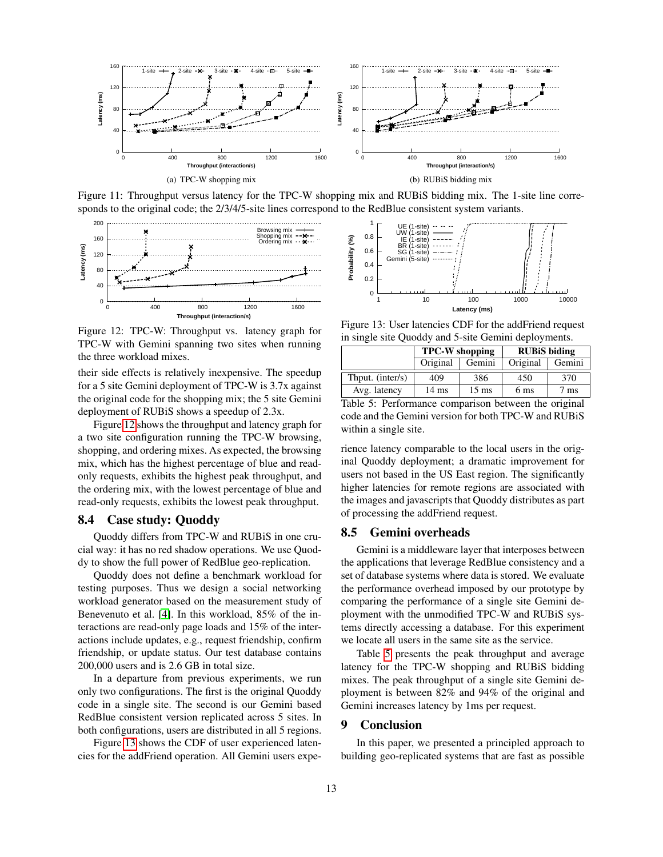

<span id="page-12-1"></span>Figure 11: Throughput versus latency for the TPC-W shopping mix and RUBiS bidding mix. The 1-site line corresponds to the original code; the  $2/3/4/5$ -site lines correspond to the RedBlue consistent system variants.



<span id="page-12-2"></span>Figure 12: TPC-W: Throughput vs. latency graph for TPC-W with Gemini spanning two sites when running the three workload mixes.

their side effects is relatively inexpensive. The speedup for a 5 site Gemini deployment of TPC-W is 3.7x against the original code for the shopping mix; the 5 site Gemini deployment of RUBiS shows a speedup of 2.3x.

Figure [12](#page-12-2) shows the throughput and latency graph for a two site configuration running the TPC-W browsing, shopping, and ordering mixes. As expected, the browsing mix, which has the highest percentage of blue and readonly requests, exhibits the highest peak throughput, and the ordering mix, with the lowest percentage of blue and read-only requests, exhibits the lowest peak throughput.

## 8.4 Case study: Quoddy

Quoddy differs from TPC-W and RUBiS in one crucial way: it has no red shadow operations. We use Quoddy to show the full power of RedBlue geo-replication.

Quoddy does not define a benchmark workload for testing purposes. Thus we design a social networking workload generator based on the measurement study of Benevenuto et al. [\[4\]](#page-13-40). In this workload, 85% of the interactions are read-only page loads and 15% of the interactions include updates, e.g., request friendship, confirm friendship, or update status. Our test database contains 200,000 users and is 2.6 GB in total size.

In a departure from previous experiments, we run only two configurations. The first is the original Quoddy code in a single site. The second is our Gemini based RedBlue consistent version replicated across 5 sites. In both configurations, users are distributed in all 5 regions.

Figure [13](#page-12-3) shows the CDF of user experienced latencies for the addFriend operation. All Gemini users expe-



<span id="page-12-3"></span>Figure 13: User latencies CDF for the addFriend request in single site Quoddy and 5-site Gemini deployments.

|                  | <b>TPC-W</b> shopping |                 | <b>RUBIS</b> biding |        |  |
|------------------|-----------------------|-----------------|---------------------|--------|--|
|                  | Original              | Gemini          | Original            | Gemini |  |
| Thput. (inter/s) | 409                   | 386             | 450                 | 370    |  |
| Avg. latency     | $14 \text{ ms}$       | $15 \text{ ms}$ | 6 ms                | ms     |  |

<span id="page-12-4"></span>Table 5: Performance comparison between the original code and the Gemini version for both TPC-W and RUBiS within a single site.

rience latency comparable to the local users in the original Quoddy deployment; a dramatic improvement for users not based in the US East region. The significantly higher latencies for remote regions are associated with the images and javascripts that Quoddy distributes as part of processing the addFriend request.

## 8.5 Gemini overheads

Gemini is a middleware layer that interposes between the applications that leverage RedBlue consistency and a set of database systems where data is stored. We evaluate the performance overhead imposed by our prototype by comparing the performance of a single site Gemini deployment with the unmodified TPC-W and RUBiS systems directly accessing a database. For this experiment we locate all users in the same site as the service.

Table [5](#page-12-4) presents the peak throughput and average latency for the TPC-W shopping and RUBiS bidding mixes. The peak throughput of a single site Gemini deployment is between 82% and 94% of the original and Gemini increases latency by 1ms per request.

## <span id="page-12-0"></span>9 Conclusion

In this paper, we presented a principled approach to building geo-replicated systems that are fast as possible